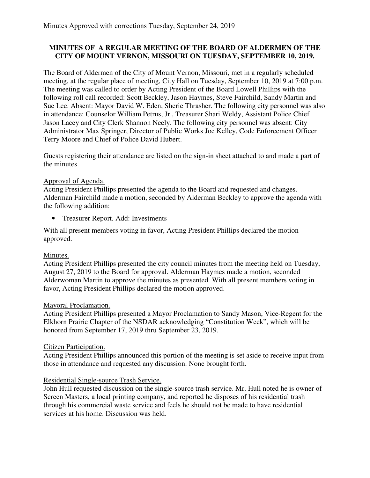# **MINUTES OF A REGULAR MEETING OF THE BOARD OF ALDERMEN OF THE CITY OF MOUNT VERNON, MISSOURI ON TUESDAY, SEPTEMBER 10, 2019.**

The Board of Aldermen of the City of Mount Vernon, Missouri, met in a regularly scheduled meeting, at the regular place of meeting, City Hall on Tuesday, September 10, 2019 at 7:00 p.m. The meeting was called to order by Acting President of the Board Lowell Phillips with the following roll call recorded: Scott Beckley, Jason Haymes, Steve Fairchild, Sandy Martin and Sue Lee. Absent: Mayor David W. Eden, Sherie Thrasher. The following city personnel was also in attendance: Counselor William Petrus, Jr., Treasurer Shari Weldy, Assistant Police Chief Jason Lacey and City Clerk Shannon Neely. The following city personnel was absent: City Administrator Max Springer, Director of Public Works Joe Kelley, Code Enforcement Officer Terry Moore and Chief of Police David Hubert.

Guests registering their attendance are listed on the sign-in sheet attached to and made a part of the minutes.

# Approval of Agenda.

Acting President Phillips presented the agenda to the Board and requested and changes. Alderman Fairchild made a motion, seconded by Alderman Beckley to approve the agenda with the following addition:

• Treasurer Report. Add: Investments

With all present members voting in favor, Acting President Phillips declared the motion approved.

# Minutes.

Acting President Phillips presented the city council minutes from the meeting held on Tuesday, August 27, 2019 to the Board for approval. Alderman Haymes made a motion, seconded Alderwoman Martin to approve the minutes as presented. With all present members voting in favor, Acting President Phillips declared the motion approved.

#### Mayoral Proclamation.

Acting President Phillips presented a Mayor Proclamation to Sandy Mason, Vice-Regent for the Elkhorn Prairie Chapter of the NSDAR acknowledging "Constitution Week", which will be honored from September 17, 2019 thru September 23, 2019.

#### Citizen Participation.

Acting President Phillips announced this portion of the meeting is set aside to receive input from those in attendance and requested any discussion. None brought forth.

# Residential Single-source Trash Service.

John Hull requested discussion on the single-source trash service. Mr. Hull noted he is owner of Screen Masters, a local printing company, and reported he disposes of his residential trash through his commercial waste service and feels he should not be made to have residential services at his home. Discussion was held.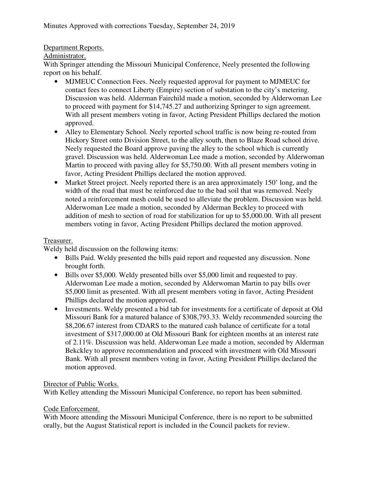# Department Reports.

# Administrator.

With Springer attending the Missouri Municipal Conference, Neely presented the following report on his behalf.

- MJMEUC Connection Fees. Neely requested approval for payment to MJMEUC for contact fees to connect Liberty (Empire) section of substation to the city's metering. Discussion was held. Alderman Fairchild made a motion, seconded by Alderwoman Lee to proceed with payment for \$14,745.27 and authorizing Springer to sign agreement. With all present members voting in favor, Acting President Phillips declared the motion approved.
- Alley to Elementary School. Neely reported school traffic is now being re-routed from Hickory Street onto Division Street, to the alley south, then to Blaze Road school drive. Neely requested the Board approve paving the alley to the school which is currently gravel. Discussion was held. Alderwoman Lee made a motion, seconded by Alderwoman Martin to proceed with paving alley for \$5,750.00. With all present members voting in favor, Acting President Phillips declared the motion approved.
- Market Street project. Neely reported there is an area approximately 150' long, and the width of the road that must be reinforced due to the bad soil that was removed. Neely noted a reinforcement mesh could be used to alleviate the problem. Discussion was held. Alderwoman Lee made a motion, seconded by Alderman Beckley to proceed with addition of mesh to section of road for stabilization for up to \$5,000.00. With all present members voting in favor, Acting President Phillips declared the motion approved.

# Treasurer.

Weldy held discussion on the following items:

- Bills Paid. Weldy presented the bills paid report and requested any discussion. None brought forth.
- Bills over \$5,000. Weldy presented bills over \$5,000 limit and requested to pay. Alderwoman Lee made a motion, seconded by Alderwoman Martin to pay bills over \$5,000 limit as presented. With all present members voting in favor, Acting President Phillips declared the motion approved.
- Investments. Weldy presented a bid tab for investments for a certificate of deposit at Old Missouri Bank for a matured balance of \$308,793.33. Weldy recommended sourcing the \$8,206.67 interest from CDARS to the matured cash balance of certificate for a total investment of \$317,000.00 at Old Missouri Bank for eighteen months at an interest rate of 2.11%. Discussion was held. Alderwoman Lee made a motion, seconded by Alderman Bekckley to approve recommendation and proceed with investment with Old Missouri Bank. With all present members voting in favor, Acting President Phillips declared the motion approved.

# Director of Public Works.

With Kelley attending the Missouri Municipal Conference, no report has been submitted.

# Code Enforcement.

With Moore attending the Missouri Municipal Conference, there is no report to be submitted orally, but the August Statistical report is included in the Council packets for review.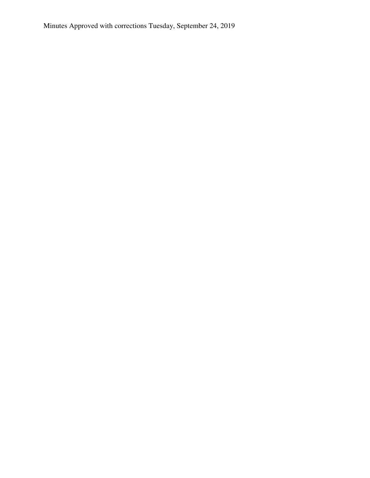Minutes Approved with corrections Tuesday, September 24, 2019